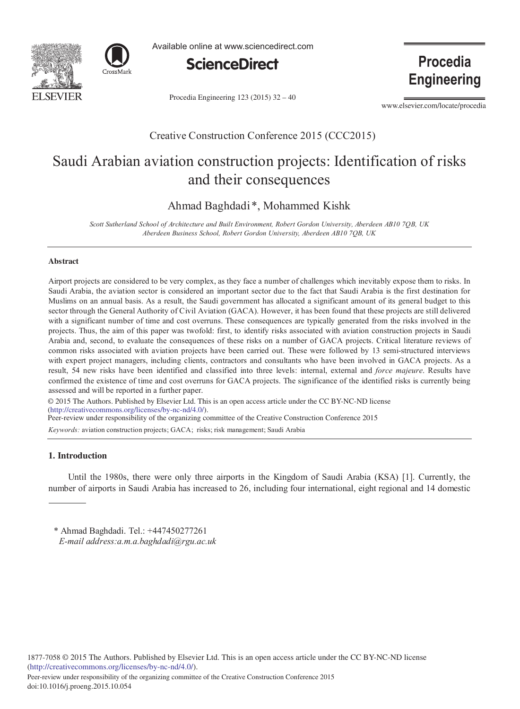



Available online at www.sciencedirect.com



Procedia Engineering 123 (2015) 32 - 40

**Engineering** 

Procedia

www.elsevier.com/locate/procedia

### Creative Construction Conference 2015 (CCC2015)

# Saudi Arabian aviation construction projects: Identification of risks and their consequences

Ahmad Baghdadi\*, Mohammed Kishk

*Scott Sutherland School of Architecture and Built Environment, Robert Gordon University, Aberdeen AB10 7QB, UK Aberdeen Business School, Robert Gordon University, Aberdeen AB10 7QB, UK*

#### **Abstract**

Airport projects are considered to be very complex, as they face a number of challenges which inevitably expose them to risks. In Saudi Arabia, the aviation sector is considered an important sector due to the fact that Saudi Arabia is the first destination for Muslims on an annual basis. As a result, the Saudi government has allocated a significant amount of its general budget to this sector through the General Authority of Civil Aviation (GACA). However, it has been found that these projects are still delivered with a significant number of time and cost overruns. These consequences are typically generated from the risks involved in the projects. Thus, the aim of this paper was twofold: first, to identify risks associated with aviation construction projects in Saudi Arabia and, second, to evaluate the consequences of these risks on a number of GACA projects. Critical literature reviews of common risks associated with aviation projects have been carried out. These were followed by 13 semi-structured interviews with expert project managers, including clients, contractors and consultants who have been involved in GACA projects. As a result, 54 new risks have been identified and classified into three levels: internal, external and *force majeure*. Results have confirmed the existence of time and cost overruns for GACA projects. The significance of the identified risks is currently being assessed and will be reported in a further paper.

© 2015 The Authors. Published by Elsevier Ltd. © 2015 The Authors. Published by Elsevier Ltd. This is an open access article under the CC BY-NC-ND license (http://creativecommons.org/licenses/by-nc-nd/4.0/). Peer-review under responsibility of the organizing committee of the Creative Construction Conference 2015

*Keywords:* aviation construction projects; GACA; risks; risk management; Saudi Arabia

### **1. Introduction**

Until the 1980s, there were only three airports in the Kingdom of Saudi Arabia (KSA) [1]. Currently, the number of airports in Saudi Arabia has increased to 26, including four international, eight regional and 14 domestic

\* Ahmad Baghdadi. Tel.: +447450277261 *E-mail address:a.m.a.baghdadi@rgu.ac.uk*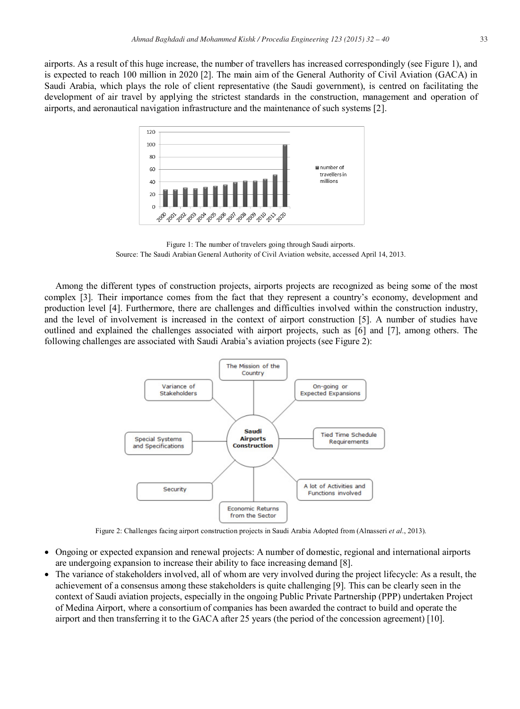airports. As a result of this huge increase, the number of travellers has increased correspondingly (see Figure 1), and is expected to reach 100 million in 2020 [2]. The main aim of the General Authority of Civil Aviation (GACA) in Saudi Arabia, which plays the role of client representative (the Saudi government), is centred on facilitating the development of air travel by applying the strictest standards in the construction, management and operation of airports, and aeronautical navigation infrastructure and the maintenance of such systems [2].



Figure 1: The number of travelers going through Saudi airports. Source: The Saudi Arabian General Authority of Civil Aviation website, accessed April 14, 2013.

Among the different types of construction projects, airports projects are recognized as being some of the most complex [3]. Their importance comes from the fact that they represent a country's economy, development and production level [4]. Furthermore, there are challenges and difficulties involved within the construction industry, and the level of involvement is increased in the context of airport construction [5]. A number of studies have outlined and explained the challenges associated with airport projects, such as [6] and [7], among others. The following challenges are associated with Saudi Arabia's aviation projects (see Figure 2):



Figure 2: Challenges facing airport construction projects in Saudi Arabia Adopted from (Alnasseri *et al*., 2013).

- Ongoing or expected expansion and renewal projects: A number of domestic, regional and international airports are undergoing expansion to increase their ability to face increasing demand [8].
- The variance of stakeholders involved, all of whom are very involved during the project lifecycle: As a result, the achievement of a consensus among these stakeholders is quite challenging [9]. This can be clearly seen in the context of Saudi aviation projects, especially in the ongoing Public Private Partnership (PPP) undertaken Project of Medina Airport, where a consortium of companies has been awarded the contract to build and operate the airport and then transferring it to the GACA after 25 years (the period of the concession agreement) [10].